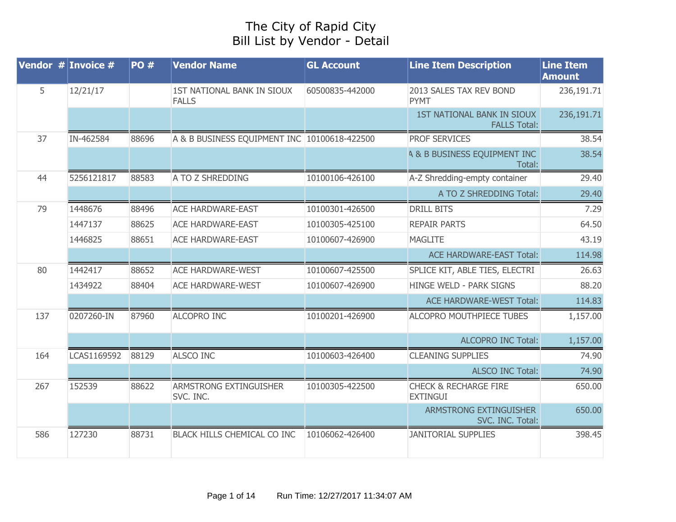## The City of Rapid City Bill List by Vendor - Detail

| Vendor $#$ Invoice $#$ |             | <b>PO#</b> | <b>Vendor Name</b>                           | <b>GL Account</b> | <b>Line Item Description</b>                             | <b>Line Item</b><br><b>Amount</b> |
|------------------------|-------------|------------|----------------------------------------------|-------------------|----------------------------------------------------------|-----------------------------------|
| 5                      | 12/21/17    |            | 1ST NATIONAL BANK IN SIOUX<br><b>FALLS</b>   | 60500835-442000   | 2013 SALES TAX REV BOND<br><b>PYMT</b>                   | 236,191.71                        |
|                        |             |            |                                              |                   | <b>1ST NATIONAL BANK IN SIOUX</b><br><b>FALLS Total:</b> | 236,191.71                        |
| 37                     | IN-462584   | 88696      | A & B BUSINESS EQUIPMENT INC 10100618-422500 |                   | <b>PROF SERVICES</b>                                     | 38.54                             |
|                        |             |            |                                              |                   | A & B BUSINESS EQUIPMENT INC<br>Total:                   | 38.54                             |
| 44                     | 5256121817  | 88583      | A TO Z SHREDDING                             | 10100106-426100   | A-Z Shredding-empty container                            | 29.40                             |
|                        |             |            |                                              |                   | A TO Z SHREDDING Total:                                  | 29.40                             |
| 79                     | 1448676     | 88496      | <b>ACE HARDWARE-EAST</b>                     | 10100301-426500   | <b>DRILL BITS</b>                                        | 7.29                              |
|                        | 1447137     | 88625      | <b>ACE HARDWARE-EAST</b>                     | 10100305-425100   | <b>REPAIR PARTS</b>                                      | 64.50                             |
|                        | 1446825     | 88651      | <b>ACE HARDWARE-EAST</b>                     | 10100607-426900   | <b>MAGLITE</b>                                           | 43.19                             |
|                        |             |            |                                              |                   | <b>ACE HARDWARE-EAST Total:</b>                          | 114.98                            |
| 80                     | 1442417     | 88652      | <b>ACE HARDWARE-WEST</b>                     | 10100607-425500   | SPLICE KIT, ABLE TIES, ELECTRI                           | 26.63                             |
|                        | 1434922     | 88404      | <b>ACE HARDWARE-WEST</b>                     | 10100607-426900   | HINGE WELD - PARK SIGNS                                  | 88.20                             |
|                        |             |            |                                              |                   | <b>ACE HARDWARE-WEST Total:</b>                          | 114.83                            |
| 137                    | 0207260-IN  | 87960      | <b>ALCOPRO INC</b>                           | 10100201-426900   | ALCOPRO MOUTHPIECE TUBES                                 | 1,157.00                          |
|                        |             |            |                                              |                   | <b>ALCOPRO INC Total:</b>                                | 1,157.00                          |
| 164                    | LCAS1169592 | 88129      | <b>ALSCO INC</b>                             | 10100603-426400   | <b>CLEANING SUPPLIES</b>                                 | 74.90                             |
|                        |             |            |                                              |                   | <b>ALSCO INC Total:</b>                                  | 74.90                             |
| 267                    | 152539      | 88622      | ARMSTRONG EXTINGUISHER<br>SVC. INC.          | 10100305-422500   | <b>CHECK &amp; RECHARGE FIRE</b><br><b>EXTINGUI</b>      | 650.00                            |
|                        |             |            |                                              |                   | ARMSTRONG EXTINGUISHER<br>SVC. INC. Total:               | 650.00                            |
| 586                    | 127230      | 88731      | BLACK HILLS CHEMICAL CO INC                  | 10106062-426400   | <b>JANITORIAL SUPPLIES</b>                               | 398.45                            |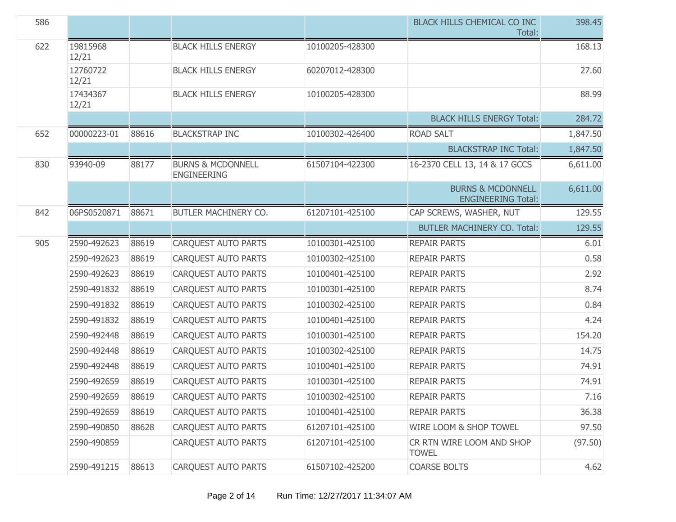| 586 |                   |       |                                                    |                 | BLACK HILLS CHEMICAL CO INC<br>Total:                     | 398.45   |
|-----|-------------------|-------|----------------------------------------------------|-----------------|-----------------------------------------------------------|----------|
| 622 | 19815968<br>12/21 |       | <b>BLACK HILLS ENERGY</b>                          | 10100205-428300 |                                                           | 168.13   |
|     | 12760722<br>12/21 |       | <b>BLACK HILLS ENERGY</b>                          | 60207012-428300 |                                                           | 27.60    |
|     | 17434367<br>12/21 |       | <b>BLACK HILLS ENERGY</b>                          | 10100205-428300 |                                                           | 88.99    |
|     |                   |       |                                                    |                 | <b>BLACK HILLS ENERGY Total:</b>                          | 284.72   |
| 652 | 00000223-01       | 88616 | <b>BLACKSTRAP INC</b>                              | 10100302-426400 | <b>ROAD SALT</b>                                          | 1,847.50 |
|     |                   |       |                                                    |                 | <b>BLACKSTRAP INC Total:</b>                              | 1,847.50 |
| 830 | 93940-09          | 88177 | <b>BURNS &amp; MCDONNELL</b><br><b>ENGINEERING</b> | 61507104-422300 | 16-2370 CELL 13, 14 & 17 GCCS                             | 6,611.00 |
|     |                   |       |                                                    |                 | <b>BURNS &amp; MCDONNELL</b><br><b>ENGINEERING Total:</b> | 6,611.00 |
| 842 | 06PS0520871       | 88671 | BUTLER MACHINERY CO.                               | 61207101-425100 | CAP SCREWS, WASHER, NUT                                   | 129.55   |
|     |                   |       |                                                    |                 | <b>BUTLER MACHINERY CO. Total:</b>                        | 129.55   |
| 905 | 2590-492623       | 88619 | <b>CARQUEST AUTO PARTS</b>                         | 10100301-425100 | <b>REPAIR PARTS</b>                                       | 6.01     |
|     | 2590-492623       | 88619 | <b>CARQUEST AUTO PARTS</b>                         | 10100302-425100 | <b>REPAIR PARTS</b>                                       | 0.58     |
|     | 2590-492623       | 88619 | <b>CARQUEST AUTO PARTS</b>                         | 10100401-425100 | <b>REPAIR PARTS</b>                                       | 2.92     |
|     | 2590-491832       | 88619 | <b>CARQUEST AUTO PARTS</b>                         | 10100301-425100 | <b>REPAIR PARTS</b>                                       | 8.74     |
|     | 2590-491832       | 88619 | <b>CARQUEST AUTO PARTS</b>                         | 10100302-425100 | <b>REPAIR PARTS</b>                                       | 0.84     |
|     | 2590-491832       | 88619 | <b>CARQUEST AUTO PARTS</b>                         | 10100401-425100 | <b>REPAIR PARTS</b>                                       | 4.24     |
|     | 2590-492448       | 88619 | <b>CARQUEST AUTO PARTS</b>                         | 10100301-425100 | <b>REPAIR PARTS</b>                                       | 154.20   |
|     | 2590-492448       | 88619 | <b>CARQUEST AUTO PARTS</b>                         | 10100302-425100 | <b>REPAIR PARTS</b>                                       | 14.75    |
|     | 2590-492448       | 88619 | <b>CARQUEST AUTO PARTS</b>                         | 10100401-425100 | <b>REPAIR PARTS</b>                                       | 74.91    |
|     | 2590-492659       | 88619 | <b>CARQUEST AUTO PARTS</b>                         | 10100301-425100 | <b>REPAIR PARTS</b>                                       | 74.91    |
|     | 2590-492659       | 88619 | CARQUEST AUTO PARTS                                | 10100302-425100 | <b>REPAIR PARTS</b>                                       | 7.16     |
|     | 2590-492659       | 88619 | <b>CARQUEST AUTO PARTS</b>                         | 10100401-425100 | <b>REPAIR PARTS</b>                                       | 36.38    |
|     | 2590-490850       | 88628 | <b>CARQUEST AUTO PARTS</b>                         | 61207101-425100 | WIRE LOOM & SHOP TOWEL                                    | 97.50    |
|     | 2590-490859       |       | <b>CARQUEST AUTO PARTS</b>                         | 61207101-425100 | CR RTN WIRE LOOM AND SHOP<br><b>TOWEL</b>                 | (97.50)  |
|     | 2590-491215       | 88613 | <b>CARQUEST AUTO PARTS</b>                         | 61507102-425200 | <b>COARSE BOLTS</b>                                       | 4.62     |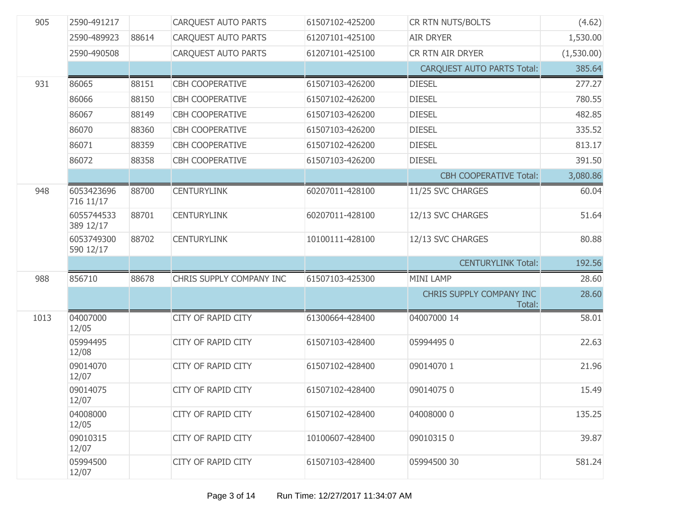| 905  | 2590-491217             |       | <b>CARQUEST AUTO PARTS</b> | 61507102-425200 | CR RTN NUTS/BOLTS                  | (4.62)     |
|------|-------------------------|-------|----------------------------|-----------------|------------------------------------|------------|
|      | 2590-489923             | 88614 | <b>CARQUEST AUTO PARTS</b> | 61207101-425100 | <b>AIR DRYER</b>                   | 1,530.00   |
|      | 2590-490508             |       | <b>CARQUEST AUTO PARTS</b> | 61207101-425100 | CR RTN AIR DRYER                   | (1,530.00) |
|      |                         |       |                            |                 | <b>CARQUEST AUTO PARTS Total:</b>  | 385.64     |
| 931  | 86065                   | 88151 | CBH COOPERATIVE            | 61507103-426200 | <b>DIESEL</b>                      | 277.27     |
|      | 86066                   | 88150 | <b>CBH COOPERATIVE</b>     | 61507102-426200 | <b>DIESEL</b>                      | 780.55     |
|      | 86067                   | 88149 | <b>CBH COOPERATIVE</b>     | 61507103-426200 | <b>DIESEL</b>                      | 482.85     |
|      | 86070                   | 88360 | <b>CBH COOPERATIVE</b>     | 61507103-426200 | <b>DIESEL</b>                      | 335.52     |
|      | 86071                   | 88359 | <b>CBH COOPERATIVE</b>     | 61507102-426200 | <b>DIESEL</b>                      | 813.17     |
|      | 86072                   | 88358 | <b>CBH COOPERATIVE</b>     | 61507103-426200 | <b>DIESEL</b>                      | 391.50     |
|      |                         |       |                            |                 | <b>CBH COOPERATIVE Total:</b>      | 3,080.86   |
| 948  | 6053423696<br>716 11/17 | 88700 | <b>CENTURYLINK</b>         | 60207011-428100 | 11/25 SVC CHARGES                  | 60.04      |
|      | 6055744533<br>389 12/17 | 88701 | <b>CENTURYLINK</b>         | 60207011-428100 | 12/13 SVC CHARGES                  | 51.64      |
|      | 6053749300<br>590 12/17 | 88702 | <b>CENTURYLINK</b>         | 10100111-428100 | 12/13 SVC CHARGES                  | 80.88      |
|      |                         |       |                            |                 | <b>CENTURYLINK Total:</b>          | 192.56     |
| 988  | 856710                  | 88678 | CHRIS SUPPLY COMPANY INC   | 61507103-425300 | <b>MINI LAMP</b>                   | 28.60      |
|      |                         |       |                            |                 | CHRIS SUPPLY COMPANY INC<br>Total: | 28.60      |
| 1013 | 04007000<br>12/05       |       | CITY OF RAPID CITY         | 61300664-428400 | 04007000 14                        | 58.01      |
|      | 05994495<br>12/08       |       | <b>CITY OF RAPID CITY</b>  | 61507103-428400 | 059944950                          | 22.63      |
|      | 09014070<br>12/07       |       | <b>CITY OF RAPID CITY</b>  | 61507102-428400 | 09014070 1                         | 21.96      |
|      | 09014075<br>12/07       |       | <b>CITY OF RAPID CITY</b>  | 61507102-428400 | 090140750                          | 15.49      |
|      | 04008000<br>12/05       |       | <b>CITY OF RAPID CITY</b>  | 61507102-428400 | 04008000 0                         | 135.25     |
|      | 09010315<br>12/07       |       | <b>CITY OF RAPID CITY</b>  | 10100607-428400 | 090103150                          | 39.87      |
|      | 05994500<br>12/07       |       | <b>CITY OF RAPID CITY</b>  | 61507103-428400 | 05994500 30                        | 581.24     |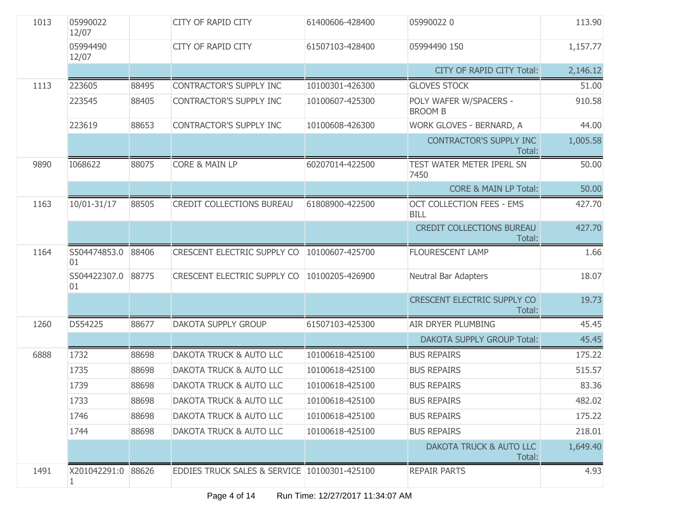| 1013 | 05990022<br>12/07       |       | <b>CITY OF RAPID CITY</b>                    | 61400606-428400 | 059900220                                       | 113.90   |
|------|-------------------------|-------|----------------------------------------------|-----------------|-------------------------------------------------|----------|
|      | 05994490<br>12/07       |       | <b>CITY OF RAPID CITY</b>                    | 61507103-428400 | 05994490 150                                    | 1,157.77 |
|      |                         |       |                                              |                 | <b>CITY OF RAPID CITY Total:</b>                | 2,146.12 |
| 1113 | 223605                  | 88495 | <b>CONTRACTOR'S SUPPLY INC</b>               | 10100301-426300 | <b>GLOVES STOCK</b>                             | 51.00    |
|      | 223545                  | 88405 | <b>CONTRACTOR'S SUPPLY INC</b>               | 10100607-425300 | POLY WAFER W/SPACERS -<br><b>BROOM B</b>        | 910.58   |
|      | 223619                  | 88653 | <b>CONTRACTOR'S SUPPLY INC</b>               | 10100608-426300 | WORK GLOVES - BERNARD, A                        | 44.00    |
|      |                         |       |                                              |                 | <b>CONTRACTOR'S SUPPLY INC</b><br>Total:        | 1,005.58 |
| 9890 | 1068622                 | 88075 | <b>CORE &amp; MAIN LP</b>                    | 60207014-422500 | TEST WATER METER IPERL SN<br>7450               | 50.00    |
|      |                         |       |                                              |                 | <b>CORE &amp; MAIN LP Total:</b>                | 50.00    |
| 1163 | 10/01-31/17             | 88505 | <b>CREDIT COLLECTIONS BUREAU</b>             | 61808900-422500 | <b>OCT COLLECTION FEES - EMS</b><br><b>BILL</b> | 427.70   |
|      |                         |       |                                              |                 | <b>CREDIT COLLECTIONS BUREAU</b><br>Total:      | 427.70   |
| 1164 | S504474853.0<br>01      | 88406 | <b>CRESCENT ELECTRIC SUPPLY CO</b>           | 10100607-425700 | <b>FLOURESCENT LAMP</b>                         | 1.66     |
|      | S504422307.0<br>01      | 88775 | CRESCENT ELECTRIC SUPPLY CO                  | 10100205-426900 | Neutral Bar Adapters                            | 18.07    |
|      |                         |       |                                              |                 | <b>CRESCENT ELECTRIC SUPPLY CO</b><br>Total:    | 19.73    |
| 1260 | D554225                 | 88677 | <b>DAKOTA SUPPLY GROUP</b>                   | 61507103-425300 | AIR DRYER PLUMBING                              | 45.45    |
|      |                         |       |                                              |                 | <b>DAKOTA SUPPLY GROUP Total:</b>               | 45.45    |
| 6888 | 1732                    | 88698 | <b>DAKOTA TRUCK &amp; AUTO LLC</b>           | 10100618-425100 | <b>BUS REPAIRS</b>                              | 175.22   |
|      | 1735                    | 88698 | DAKOTA TRUCK & AUTO LLC                      | 10100618-425100 | <b>BUS REPAIRS</b>                              | 515.57   |
|      | 1739                    | 88698 | DAKOTA TRUCK & AUTO LLC                      | 10100618-425100 | <b>BUS REPAIRS</b>                              | 83.36    |
|      | 1733                    | 88698 | <b>DAKOTA TRUCK &amp; AUTO LLC</b>           | 10100618-425100 | <b>BUS REPAIRS</b>                              | 482.02   |
|      | 1746                    | 88698 | <b>DAKOTA TRUCK &amp; AUTO LLC</b>           | 10100618-425100 | <b>BUS REPAIRS</b>                              | 175.22   |
|      | 1744                    | 88698 | DAKOTA TRUCK & AUTO LLC                      | 10100618-425100 | <b>BUS REPAIRS</b>                              | 218.01   |
|      |                         |       |                                              |                 | <b>DAKOTA TRUCK &amp; AUTO LLC</b><br>Total:    | 1,649.40 |
| 1491 | X201042291:0 88626<br>1 |       | EDDIES TRUCK SALES & SERVICE 10100301-425100 |                 | <b>REPAIR PARTS</b>                             | 4.93     |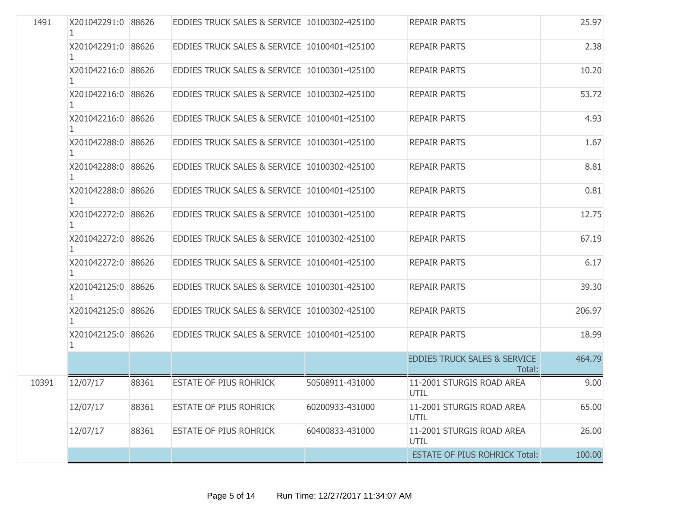| 1491  | X201042291:0 88626       |       | EDDIES TRUCK SALES & SERVICE 10100302-425100 |                 | <b>REPAIR PARTS</b>                               | 25.97  |
|-------|--------------------------|-------|----------------------------------------------|-----------------|---------------------------------------------------|--------|
|       | X201042291:0 88626       |       | EDDIES TRUCK SALES & SERVICE 10100401-425100 |                 | <b>REPAIR PARTS</b>                               | 2.38   |
|       | X201042216:0 88626       |       | EDDIES TRUCK SALES & SERVICE 10100301-425100 |                 | <b>REPAIR PARTS</b>                               | 10.20  |
|       | X201042216:0 88626       |       | EDDIES TRUCK SALES & SERVICE 10100302-425100 |                 | <b>REPAIR PARTS</b>                               | 53.72  |
|       | X201042216:0 88626       |       | EDDIES TRUCK SALES & SERVICE 10100401-425100 |                 | <b>REPAIR PARTS</b>                               | 4.93   |
|       | X201042288:0 88626       |       | EDDIES TRUCK SALES & SERVICE 10100301-425100 |                 | <b>REPAIR PARTS</b>                               | 1.67   |
|       | X201042288:0 88626       |       | EDDIES TRUCK SALES & SERVICE 10100302-425100 |                 | <b>REPAIR PARTS</b>                               | 8.81   |
|       | X201042288:0 88626<br>1. |       | EDDIES TRUCK SALES & SERVICE 10100401-425100 |                 | <b>REPAIR PARTS</b>                               | 0.81   |
|       | X201042272:0 88626       |       | EDDIES TRUCK SALES & SERVICE 10100301-425100 |                 | <b>REPAIR PARTS</b>                               | 12.75  |
|       | X201042272:0 88626       |       | EDDIES TRUCK SALES & SERVICE 10100302-425100 |                 | <b>REPAIR PARTS</b>                               | 67.19  |
|       | X201042272:0 88626<br>1. |       | EDDIES TRUCK SALES & SERVICE 10100401-425100 |                 | <b>REPAIR PARTS</b>                               | 6.17   |
|       | X201042125:0 88626       |       | EDDIES TRUCK SALES & SERVICE 10100301-425100 |                 | <b>REPAIR PARTS</b>                               | 39.30  |
|       | X201042125:0 88626       |       | EDDIES TRUCK SALES & SERVICE 10100302-425100 |                 | <b>REPAIR PARTS</b>                               | 206.97 |
|       | X201042125:0 88626       |       | EDDIES TRUCK SALES & SERVICE 10100401-425100 |                 | <b>REPAIR PARTS</b>                               | 18.99  |
|       |                          |       |                                              |                 | <b>EDDIES TRUCK SALES &amp; SERVICE</b><br>Total: | 464.79 |
| 10391 | 12/07/17                 | 88361 | <b>ESTATE OF PIUS ROHRICK</b>                | 50508911-431000 | 11-2001 STURGIS ROAD AREA<br>UTIL                 | 9.00   |
|       | 12/07/17                 | 88361 | <b>ESTATE OF PIUS ROHRICK</b>                | 60200933-431000 | 11-2001 STURGIS ROAD AREA<br>UTIL                 | 65.00  |
|       | 12/07/17                 | 88361 | ESTATE OF PIUS ROHRICK                       | 60400833-431000 | 11-2001 STURGIS ROAD AREA<br>UTIL                 | 26.00  |
|       |                          |       |                                              |                 | <b>ESTATE OF PIUS ROHRICK Total:</b>              | 100.00 |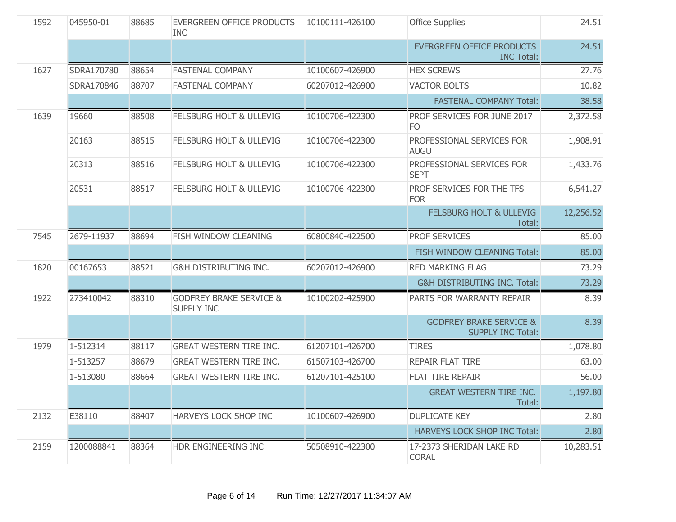| 1592 | 045950-01  | 88685 | <b>EVERGREEN OFFICE PRODUCTS</b><br><b>INC</b>          | 10100111-426100 | <b>Office Supplies</b>                                         | 24.51     |
|------|------------|-------|---------------------------------------------------------|-----------------|----------------------------------------------------------------|-----------|
|      |            |       |                                                         |                 | <b>EVERGREEN OFFICE PRODUCTS</b><br><b>INC Total:</b>          | 24.51     |
| 1627 | SDRA170780 | 88654 | <b>FASTENAL COMPANY</b>                                 | 10100607-426900 | <b>HEX SCREWS</b>                                              | 27.76     |
|      | SDRA170846 | 88707 | <b>FASTENAL COMPANY</b>                                 | 60207012-426900 | <b>VACTOR BOLTS</b>                                            | 10.82     |
|      |            |       |                                                         |                 | <b>FASTENAL COMPANY Total:</b>                                 | 38.58     |
| 1639 | 19660      | 88508 | FELSBURG HOLT & ULLEVIG                                 | 10100706-422300 | PROF SERVICES FOR JUNE 2017<br>FO                              | 2,372.58  |
|      | 20163      | 88515 | <b>FELSBURG HOLT &amp; ULLEVIG</b>                      | 10100706-422300 | PROFESSIONAL SERVICES FOR<br><b>AUGU</b>                       | 1,908.91  |
|      | 20313      | 88516 | <b>FELSBURG HOLT &amp; ULLEVIG</b>                      | 10100706-422300 | PROFESSIONAL SERVICES FOR<br><b>SEPT</b>                       | 1,433.76  |
|      | 20531      | 88517 | <b>FELSBURG HOLT &amp; ULLEVIG</b>                      | 10100706-422300 | PROF SERVICES FOR THE TFS<br><b>FOR</b>                        | 6,541.27  |
|      |            |       |                                                         |                 | <b>FELSBURG HOLT &amp; ULLEVIG</b><br>Total:                   | 12,256.52 |
| 7545 | 2679-11937 | 88694 | FISH WINDOW CLEANING                                    | 60800840-422500 | <b>PROF SERVICES</b>                                           | 85.00     |
|      |            |       |                                                         |                 | FISH WINDOW CLEANING Total:                                    | 85.00     |
| 1820 | 00167653   | 88521 | <b>G&amp;H DISTRIBUTING INC.</b>                        | 60207012-426900 | <b>RED MARKING FLAG</b>                                        | 73.29     |
|      |            |       |                                                         |                 | <b>G&amp;H DISTRIBUTING INC. Total:</b>                        | 73.29     |
| 1922 | 273410042  | 88310 | <b>GODFREY BRAKE SERVICE &amp;</b><br><b>SUPPLY INC</b> | 10100202-425900 | PARTS FOR WARRANTY REPAIR                                      | 8.39      |
|      |            |       |                                                         |                 | <b>GODFREY BRAKE SERVICE &amp;</b><br><b>SUPPLY INC Total:</b> | 8.39      |
| 1979 | 1-512314   | 88117 | <b>GREAT WESTERN TIRE INC.</b>                          | 61207101-426700 | <b>TIRES</b>                                                   | 1,078.80  |
|      | 1-513257   | 88679 | <b>GREAT WESTERN TIRE INC.</b>                          | 61507103-426700 | <b>REPAIR FLAT TIRE</b>                                        | 63.00     |
|      | 1-513080   | 88664 | <b>GREAT WESTERN TIRE INC.</b>                          | 61207101-425100 | <b>FLAT TIRE REPAIR</b>                                        | 56.00     |
|      |            |       |                                                         |                 | <b>GREAT WESTERN TIRE INC.</b><br>Total:                       | 1,197.80  |
| 2132 | E38110     | 88407 | HARVEYS LOCK SHOP INC                                   | 10100607-426900 | <b>DUPLICATE KEY</b>                                           | 2.80      |
|      |            |       |                                                         |                 | <b>HARVEYS LOCK SHOP INC Total:</b>                            | 2.80      |
| 2159 | 1200088841 | 88364 | HDR ENGINEERING INC                                     | 50508910-422300 | 17-2373 SHERIDAN LAKE RD<br><b>CORAL</b>                       | 10,283.51 |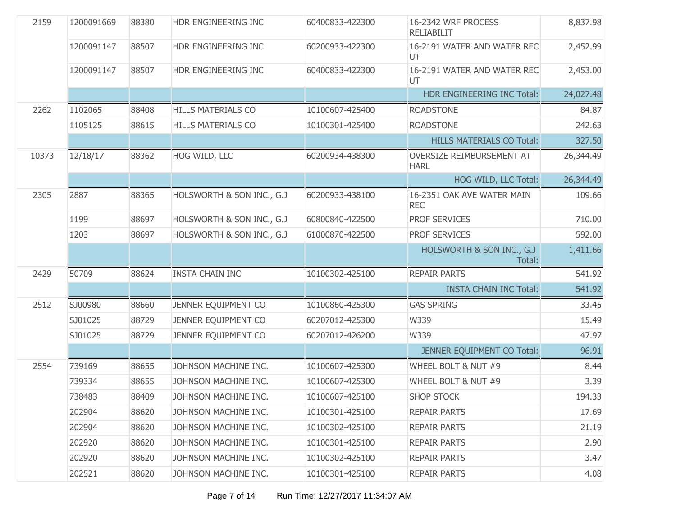| 2159  | 1200091669 | 88380 | HDR ENGINEERING INC       | 60400833-422300 | 16-2342 WRF PROCESS<br><b>RELIABILIT</b> | 8,837.98  |
|-------|------------|-------|---------------------------|-----------------|------------------------------------------|-----------|
|       | 1200091147 | 88507 | HDR ENGINEERING INC       | 60200933-422300 | 16-2191 WATER AND WATER REC<br>UT        | 2,452.99  |
|       | 1200091147 | 88507 | HDR ENGINEERING INC       | 60400833-422300 | 16-2191 WATER AND WATER REC<br>UT        | 2,453.00  |
|       |            |       |                           |                 | HDR ENGINEERING INC Total:               | 24,027.48 |
| 2262  | 1102065    | 88408 | <b>HILLS MATERIALS CO</b> | 10100607-425400 | <b>ROADSTONE</b>                         | 84.87     |
|       | 1105125    | 88615 | <b>HILLS MATERIALS CO</b> | 10100301-425400 | <b>ROADSTONE</b>                         | 242.63    |
|       |            |       |                           |                 | <b>HILLS MATERIALS CO Total:</b>         | 327.50    |
| 10373 | 12/18/17   | 88362 | HOG WILD, LLC             | 60200934-438300 | OVERSIZE REIMBURSEMENT AT<br><b>HARL</b> | 26,344.49 |
|       |            |       |                           |                 | HOG WILD, LLC Total:                     | 26,344.49 |
| 2305  | 2887       | 88365 | HOLSWORTH & SON INC., G.J | 60200933-438100 | 16-2351 OAK AVE WATER MAIN<br><b>REC</b> | 109.66    |
|       | 1199       | 88697 | HOLSWORTH & SON INC., G.J | 60800840-422500 | PROF SERVICES                            | 710.00    |
|       | 1203       | 88697 | HOLSWORTH & SON INC., G.J | 61000870-422500 | PROF SERVICES                            | 592.00    |
|       |            |       |                           |                 | HOLSWORTH & SON INC., G.J<br>Total:      | 1,411.66  |
| 2429  | 50709      | 88624 | <b>INSTA CHAIN INC</b>    | 10100302-425100 | <b>REPAIR PARTS</b>                      | 541.92    |
|       |            |       |                           |                 | <b>INSTA CHAIN INC Total:</b>            | 541.92    |
| 2512  | SJ00980    | 88660 | JENNER EQUIPMENT CO       | 10100860-425300 | <b>GAS SPRING</b>                        | 33.45     |
|       | SJ01025    | 88729 | JENNER EQUIPMENT CO       | 60207012-425300 | W339                                     | 15.49     |
|       | SJ01025    | 88729 | JENNER EQUIPMENT CO       | 60207012-426200 | W339                                     | 47.97     |
|       |            |       |                           |                 | JENNER EQUIPMENT CO Total:               | 96.91     |
| 2554  | 739169     | 88655 | JOHNSON MACHINE INC.      | 10100607-425300 | WHEEL BOLT & NUT #9                      | 8.44      |
|       | 739334     | 88655 | JOHNSON MACHINE INC.      | 10100607-425300 | WHEEL BOLT & NUT #9                      | 3.39      |
|       | 738483     | 88409 | JOHNSON MACHINE INC.      | 10100607-425100 | <b>SHOP STOCK</b>                        | 194.33    |
|       | 202904     | 88620 | JOHNSON MACHINE INC.      | 10100301-425100 | <b>REPAIR PARTS</b>                      | 17.69     |
|       | 202904     | 88620 | JOHNSON MACHINE INC.      | 10100302-425100 | <b>REPAIR PARTS</b>                      | 21.19     |
|       | 202920     | 88620 | JOHNSON MACHINE INC.      | 10100301-425100 | <b>REPAIR PARTS</b>                      | 2.90      |
|       | 202920     | 88620 | JOHNSON MACHINE INC.      | 10100302-425100 | <b>REPAIR PARTS</b>                      | 3.47      |
|       | 202521     | 88620 | JOHNSON MACHINE INC.      | 10100301-425100 | <b>REPAIR PARTS</b>                      | 4.08      |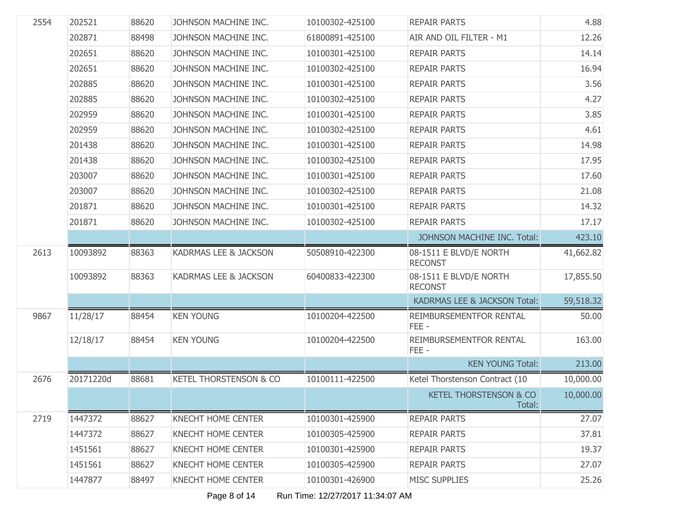| 2554 | 202521    | 88620 | JOHNSON MACHINE INC.      | 10100302-425100 | <b>REPAIR PARTS</b>                         | 4.88      |
|------|-----------|-------|---------------------------|-----------------|---------------------------------------------|-----------|
|      | 202871    | 88498 | JOHNSON MACHINE INC.      | 61800891-425100 | AIR AND OIL FILTER - M1                     | 12.26     |
|      | 202651    | 88620 | JOHNSON MACHINE INC.      | 10100301-425100 | <b>REPAIR PARTS</b>                         | 14.14     |
|      | 202651    | 88620 | JOHNSON MACHINE INC.      | 10100302-425100 | <b>REPAIR PARTS</b>                         | 16.94     |
|      | 202885    | 88620 | JOHNSON MACHINE INC.      | 10100301-425100 | <b>REPAIR PARTS</b>                         | 3.56      |
|      | 202885    | 88620 | JOHNSON MACHINE INC.      | 10100302-425100 | <b>REPAIR PARTS</b>                         | 4.27      |
|      | 202959    | 88620 | JOHNSON MACHINE INC.      | 10100301-425100 | <b>REPAIR PARTS</b>                         | 3.85      |
|      | 202959    | 88620 | JOHNSON MACHINE INC.      | 10100302-425100 | <b>REPAIR PARTS</b>                         | 4.61      |
|      | 201438    | 88620 | JOHNSON MACHINE INC.      | 10100301-425100 | <b>REPAIR PARTS</b>                         | 14.98     |
|      | 201438    | 88620 | JOHNSON MACHINE INC.      | 10100302-425100 | <b>REPAIR PARTS</b>                         | 17.95     |
|      | 203007    | 88620 | JOHNSON MACHINE INC.      | 10100301-425100 | <b>REPAIR PARTS</b>                         | 17.60     |
|      | 203007    | 88620 | JOHNSON MACHINE INC.      | 10100302-425100 | <b>REPAIR PARTS</b>                         | 21.08     |
|      | 201871    | 88620 | JOHNSON MACHINE INC.      | 10100301-425100 | <b>REPAIR PARTS</b>                         | 14.32     |
|      | 201871    | 88620 | JOHNSON MACHINE INC.      | 10100302-425100 | <b>REPAIR PARTS</b>                         | 17.17     |
|      |           |       |                           |                 | JOHNSON MACHINE INC. Total:                 | 423.10    |
| 2613 | 10093892  | 88363 | KADRMAS LEE & JACKSON     | 50508910-422300 | 08-1511 E BLVD/E NORTH<br><b>RECONST</b>    | 41,662.82 |
|      | 10093892  | 88363 | KADRMAS LEE & JACKSON     | 60400833-422300 | 08-1511 E BLVD/E NORTH<br><b>RECONST</b>    | 17,855.50 |
|      |           |       |                           |                 | KADRMAS LEE & JACKSON Total:                | 59,518.32 |
| 9867 | 11/28/17  | 88454 | <b>KEN YOUNG</b>          | 10100204-422500 | REIMBURSEMENTFOR RENTAL<br>FEE-             | 50.00     |
|      | 12/18/17  | 88454 | <b>KEN YOUNG</b>          | 10100204-422500 | REIMBURSEMENTFOR RENTAL<br>FEE-             | 163.00    |
|      |           |       |                           |                 | <b>KEN YOUNG Total:</b>                     | 213.00    |
| 2676 | 20171220d | 88681 | KETEL THORSTENSON & CO    | 10100111-422500 | Ketel Thorstenson Contract (10              | 10,000.00 |
|      |           |       |                           |                 | <b>KETEL THORSTENSON &amp; CO</b><br>Total: | 10,000.00 |
| 2719 | 1447372   | 88627 | <b>KNECHT HOME CENTER</b> | 10100301-425900 | <b>REPAIR PARTS</b>                         | 27.07     |
|      | 1447372   | 88627 | <b>KNECHT HOME CENTER</b> | 10100305-425900 | <b>REPAIR PARTS</b>                         | 37.81     |
|      | 1451561   | 88627 | <b>KNECHT HOME CENTER</b> | 10100301-425900 | <b>REPAIR PARTS</b>                         | 19.37     |
|      | 1451561   | 88627 | <b>KNECHT HOME CENTER</b> | 10100305-425900 | <b>REPAIR PARTS</b>                         | 27.07     |
|      |           |       |                           |                 |                                             |           |
|      | 1447877   | 88497 | <b>KNECHT HOME CENTER</b> | 10100301-426900 | <b>MISC SUPPLIES</b>                        | 25.26     |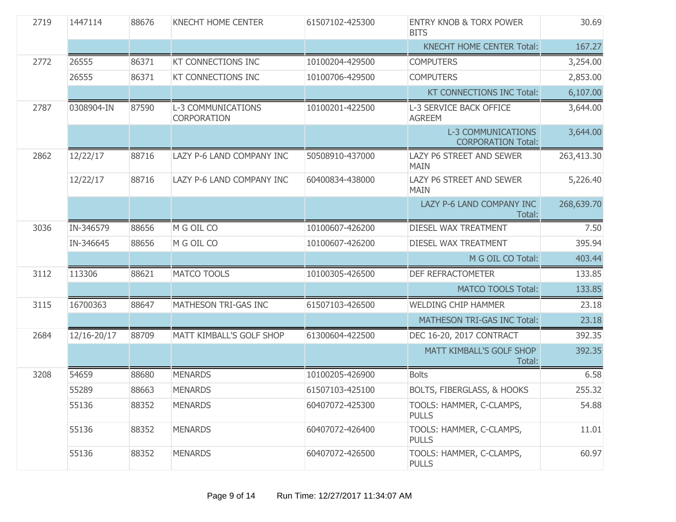| 2719 | 1447114     | 88676 | <b>KNECHT HOME CENTER</b>                       | 61507102-425300 | <b>ENTRY KNOB &amp; TORX POWER</b><br><b>BITS</b>      | 30.69      |
|------|-------------|-------|-------------------------------------------------|-----------------|--------------------------------------------------------|------------|
|      |             |       |                                                 |                 | <b>KNECHT HOME CENTER Total:</b>                       | 167.27     |
| 2772 | 26555       | 86371 | KT CONNECTIONS INC                              | 10100204-429500 | <b>COMPUTERS</b>                                       | 3,254.00   |
|      | 26555       | 86371 | <b>KT CONNECTIONS INC</b>                       | 10100706-429500 | <b>COMPUTERS</b>                                       | 2,853.00   |
|      |             |       |                                                 |                 | KT CONNECTIONS INC Total:                              | 6,107.00   |
| 2787 | 0308904-IN  | 87590 | <b>L-3 COMMUNICATIONS</b><br><b>CORPORATION</b> | 10100201-422500 | L-3 SERVICE BACK OFFICE<br><b>AGREEM</b>               | 3,644.00   |
|      |             |       |                                                 |                 | <b>L-3 COMMUNICATIONS</b><br><b>CORPORATION Total:</b> | 3,644.00   |
| 2862 | 12/22/17    | 88716 | LAZY P-6 LAND COMPANY INC                       | 50508910-437000 | LAZY P6 STREET AND SEWER<br><b>MAIN</b>                | 263,413.30 |
|      | 12/22/17    | 88716 | LAZY P-6 LAND COMPANY INC                       | 60400834-438000 | <b>LAZY P6 STREET AND SEWER</b><br>MAIN                | 5,226.40   |
|      |             |       |                                                 |                 | LAZY P-6 LAND COMPANY INC<br>Total:                    | 268,639.70 |
| 3036 | IN-346579   | 88656 | M G OIL CO                                      | 10100607-426200 | <b>DIESEL WAX TREATMENT</b>                            | 7.50       |
|      | IN-346645   | 88656 | M G OIL CO                                      | 10100607-426200 | DIESEL WAX TREATMENT                                   | 395.94     |
|      |             |       |                                                 |                 | M G OIL CO Total:                                      | 403.44     |
| 3112 | 113306      | 88621 | <b>MATCO TOOLS</b>                              | 10100305-426500 | DEF REFRACTOMETER                                      | 133.85     |
|      |             |       |                                                 |                 | <b>MATCO TOOLS Total:</b>                              | 133.85     |
| 3115 | 16700363    | 88647 | MATHESON TRI-GAS INC                            | 61507103-426500 | <b>WELDING CHIP HAMMER</b>                             | 23.18      |
|      |             |       |                                                 |                 | MATHESON TRI-GAS INC Total:                            | 23.18      |
| 2684 | 12/16-20/17 | 88709 | MATT KIMBALL'S GOLF SHOP                        | 61300604-422500 | DEC 16-20, 2017 CONTRACT                               | 392.35     |
|      |             |       |                                                 |                 | MATT KIMBALL'S GOLF SHOP<br>Total:                     | 392.35     |
| 3208 | 54659       | 88680 | <b>MENARDS</b>                                  | 10100205-426900 | <b>Bolts</b>                                           | 6.58       |
|      | 55289       | 88663 | <b>MENARDS</b>                                  | 61507103-425100 | <b>BOLTS, FIBERGLASS, &amp; HOOKS</b>                  | 255.32     |
|      | 55136       | 88352 | <b>MENARDS</b>                                  | 60407072-425300 | TOOLS: HAMMER, C-CLAMPS,<br><b>PULLS</b>               | 54.88      |
|      | 55136       | 88352 | <b>MENARDS</b>                                  | 60407072-426400 | TOOLS: HAMMER, C-CLAMPS,<br><b>PULLS</b>               | 11.01      |
|      | 55136       | 88352 | <b>MENARDS</b>                                  | 60407072-426500 | TOOLS: HAMMER, C-CLAMPS,<br><b>PULLS</b>               | 60.97      |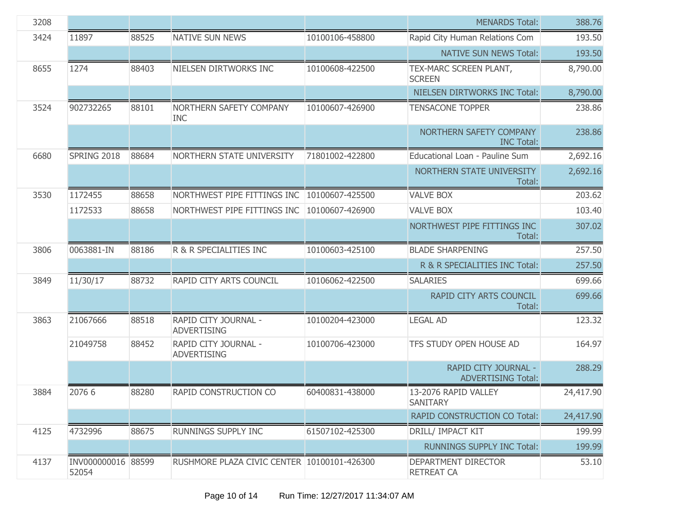| 3208 |                             |       |                                             |                 | <b>MENARDS Total:</b>                             | 388.76    |
|------|-----------------------------|-------|---------------------------------------------|-----------------|---------------------------------------------------|-----------|
| 3424 | 11897                       | 88525 | <b>NATIVE SUN NEWS</b>                      | 10100106-458800 | Rapid City Human Relations Com                    | 193.50    |
|      |                             |       |                                             |                 | <b>NATIVE SUN NEWS Total:</b>                     | 193.50    |
| 8655 | 1274                        | 88403 | NIELSEN DIRTWORKS INC                       | 10100608-422500 | TEX-MARC SCREEN PLANT,<br><b>SCREEN</b>           | 8,790.00  |
|      |                             |       |                                             |                 | NIELSEN DIRTWORKS INC Total:                      | 8,790.00  |
| 3524 | 902732265                   | 88101 | NORTHERN SAFETY COMPANY<br><b>INC</b>       | 10100607-426900 | <b>TENSACONE TOPPER</b>                           | 238.86    |
|      |                             |       |                                             |                 | NORTHERN SAFETY COMPANY<br><b>INC Total:</b>      | 238.86    |
| 6680 | SPRING 2018                 | 88684 | NORTHERN STATE UNIVERSITY                   | 71801002-422800 | Educational Loan - Pauline Sum                    | 2,692.16  |
|      |                             |       |                                             |                 | NORTHERN STATE UNIVERSITY<br>Total:               | 2,692.16  |
| 3530 | 1172455                     | 88658 | NORTHWEST PIPE FITTINGS INC                 | 10100607-425500 | <b>VALVE BOX</b>                                  | 203.62    |
|      | 1172533                     | 88658 | NORTHWEST PIPE FITTINGS INC                 | 10100607-426900 | <b>VALVE BOX</b>                                  | 103.40    |
|      |                             |       |                                             |                 | NORTHWEST PIPE FITTINGS INC<br>Total:             | 307.02    |
| 3806 | 0063881-IN                  | 88186 | R & R SPECIALITIES INC                      | 10100603-425100 | <b>BLADE SHARPENING</b>                           | 257.50    |
|      |                             |       |                                             |                 | R & R SPECIALITIES INC Total:                     | 257.50    |
| 3849 | 11/30/17                    | 88732 | RAPID CITY ARTS COUNCIL                     | 10106062-422500 | <b>SALARIES</b>                                   | 699.66    |
|      |                             |       |                                             |                 | RAPID CITY ARTS COUNCIL<br>Total:                 | 699.66    |
| 3863 | 21067666                    | 88518 | RAPID CITY JOURNAL -<br><b>ADVERTISING</b>  | 10100204-423000 | <b>LEGAL AD</b>                                   | 123.32    |
|      | 21049758                    | 88452 | RAPID CITY JOURNAL -<br><b>ADVERTISING</b>  | 10100706-423000 | TFS STUDY OPEN HOUSE AD                           | 164.97    |
|      |                             |       |                                             |                 | RAPID CITY JOURNAL -<br><b>ADVERTISING Total:</b> | 288.29    |
| 3884 | 2076 6                      | 88280 | RAPID CONSTRUCTION CO                       | 60400831-438000 | 13-2076 RAPID VALLEY<br><b>SANITARY</b>           | 24,417.90 |
|      |                             |       |                                             |                 | <b>RAPID CONSTRUCTION CO Total:</b>               | 24,417.90 |
| 4125 | 4732996                     | 88675 | RUNNINGS SUPPLY INC                         | 61507102-425300 | DRILL/ IMPACT KIT                                 | 199.99    |
|      |                             |       |                                             |                 | <b>RUNNINGS SUPPLY INC Total:</b>                 | 199.99    |
| 4137 | INV000000016 88599<br>52054 |       | RUSHMORE PLAZA CIVIC CENTER 10100101-426300 |                 | DEPARTMENT DIRECTOR<br><b>RETREAT CA</b>          | 53.10     |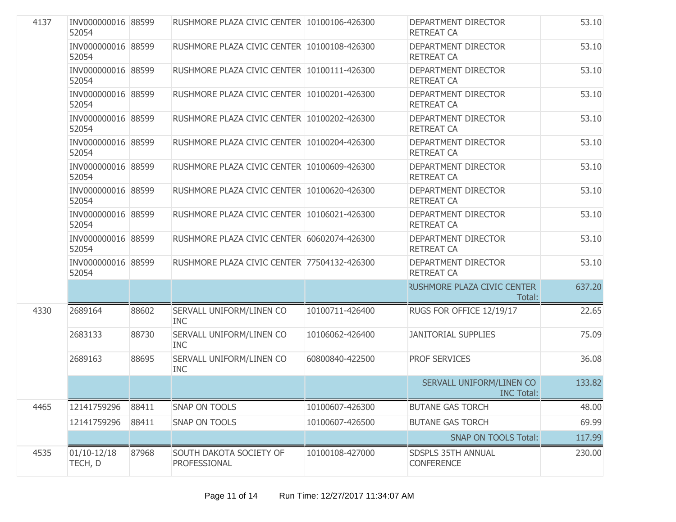| 4137 | INV000000016 88599<br>52054 |       | RUSHMORE PLAZA CIVIC CENTER 10100106-426300 |                 | DEPARTMENT DIRECTOR<br><b>RETREAT CA</b>      | 53.10  |
|------|-----------------------------|-------|---------------------------------------------|-----------------|-----------------------------------------------|--------|
|      | INV000000016 88599<br>52054 |       | RUSHMORE PLAZA CIVIC CENTER 10100108-426300 |                 | DEPARTMENT DIRECTOR<br><b>RETREAT CA</b>      | 53.10  |
|      | INV000000016 88599<br>52054 |       | RUSHMORE PLAZA CIVIC CENTER 10100111-426300 |                 | DEPARTMENT DIRECTOR<br><b>RETREAT CA</b>      | 53.10  |
|      | INV000000016 88599<br>52054 |       | RUSHMORE PLAZA CIVIC CENTER 10100201-426300 |                 | DEPARTMENT DIRECTOR<br><b>RETREAT CA</b>      | 53.10  |
|      | INV000000016 88599<br>52054 |       | RUSHMORE PLAZA CIVIC CENTER 10100202-426300 |                 | DEPARTMENT DIRECTOR<br><b>RETREAT CA</b>      | 53.10  |
|      | INV000000016 88599<br>52054 |       | RUSHMORE PLAZA CIVIC CENTER 10100204-426300 |                 | DEPARTMENT DIRECTOR<br><b>RETREAT CA</b>      | 53.10  |
|      | INV000000016 88599<br>52054 |       | RUSHMORE PLAZA CIVIC CENTER 10100609-426300 |                 | DEPARTMENT DIRECTOR<br><b>RETREAT CA</b>      | 53.10  |
|      | INV000000016 88599<br>52054 |       | RUSHMORE PLAZA CIVIC CENTER 10100620-426300 |                 | DEPARTMENT DIRECTOR<br><b>RETREAT CA</b>      | 53.10  |
|      | INV000000016 88599<br>52054 |       | RUSHMORE PLAZA CIVIC CENTER 10106021-426300 |                 | DEPARTMENT DIRECTOR<br><b>RETREAT CA</b>      | 53.10  |
|      | INV000000016 88599<br>52054 |       | RUSHMORE PLAZA CIVIC CENTER 60602074-426300 |                 | DEPARTMENT DIRECTOR<br><b>RETREAT CA</b>      | 53.10  |
|      | INV000000016 88599<br>52054 |       | RUSHMORE PLAZA CIVIC CENTER 77504132-426300 |                 | DEPARTMENT DIRECTOR<br><b>RETREAT CA</b>      | 53.10  |
|      |                             |       |                                             |                 | <b>RUSHMORE PLAZA CIVIC CENTER</b><br>Total:  | 637.20 |
| 4330 | 2689164                     | 88602 | SERVALL UNIFORM/LINEN CO<br><b>INC</b>      | 10100711-426400 | RUGS FOR OFFICE 12/19/17                      | 22.65  |
|      | 2683133                     | 88730 | SERVALL UNIFORM/LINEN CO<br><b>INC</b>      | 10106062-426400 | <b>JANITORIAL SUPPLIES</b>                    | 75.09  |
|      | 2689163                     | 88695 | SERVALL UNIFORM/LINEN CO<br><b>INC</b>      | 60800840-422500 | <b>PROF SERVICES</b>                          | 36.08  |
|      |                             |       |                                             |                 | SERVALL UNIFORM/LINEN CO<br><b>INC Total:</b> | 133.82 |
| 4465 | 12141759296                 | 88411 | SNAP ON TOOLS                               | 10100607-426300 | <b>BUTANE GAS TORCH</b>                       | 48.00  |
|      | 12141759296                 | 88411 | SNAP ON TOOLS                               | 10100607-426500 | <b>BUTANE GAS TORCH</b>                       | 69.99  |
|      |                             |       |                                             |                 | <b>SNAP ON TOOLS Total:</b>                   | 117.99 |
| 4535 | $01/10-12/18$<br>TECH, D    | 87968 | SOUTH DAKOTA SOCIETY OF<br>PROFESSIONAL     | 10100108-427000 | SDSPLS 35TH ANNUAL<br><b>CONFERENCE</b>       | 230.00 |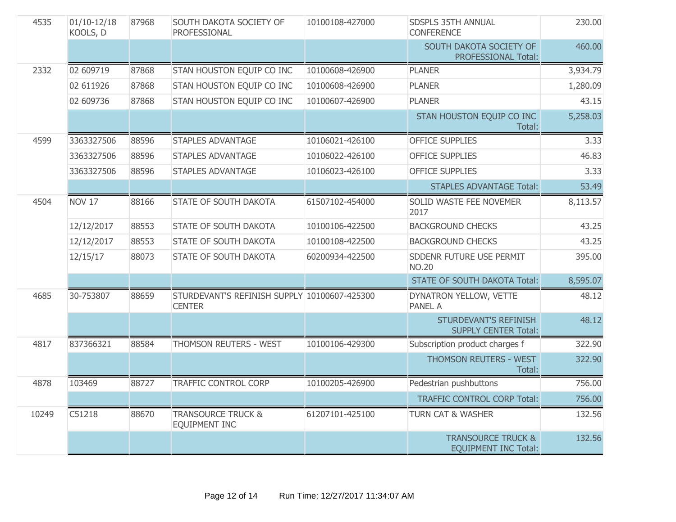| 4535  | $01/10-12/18$<br>KOOLS, D | 87968 | SOUTH DAKOTA SOCIETY OF<br>PROFESSIONAL                       | 10100108-427000 | SDSPLS 35TH ANNUAL<br><b>CONFERENCE</b>                      | 230.00   |
|-------|---------------------------|-------|---------------------------------------------------------------|-----------------|--------------------------------------------------------------|----------|
|       |                           |       |                                                               |                 | SOUTH DAKOTA SOCIETY OF<br>PROFESSIONAL Total:               | 460.00   |
| 2332  | 02 609719                 | 87868 | STAN HOUSTON EQUIP CO INC                                     | 10100608-426900 | <b>PLANER</b>                                                | 3,934.79 |
|       | 02 611926                 | 87868 | STAN HOUSTON EQUIP CO INC                                     | 10100608-426900 | <b>PLANER</b>                                                | 1,280.09 |
|       | 02 609736                 | 87868 | STAN HOUSTON EQUIP CO INC                                     | 10100607-426900 | <b>PLANER</b>                                                | 43.15    |
|       |                           |       |                                                               |                 | STAN HOUSTON EQUIP CO INC<br>Total:                          | 5,258.03 |
| 4599  | 3363327506                | 88596 | <b>STAPLES ADVANTAGE</b>                                      | 10106021-426100 | <b>OFFICE SUPPLIES</b>                                       | 3.33     |
|       | 3363327506                | 88596 | <b>STAPLES ADVANTAGE</b>                                      | 10106022-426100 | <b>OFFICE SUPPLIES</b>                                       | 46.83    |
|       | 3363327506                | 88596 | <b>STAPLES ADVANTAGE</b>                                      | 10106023-426100 | <b>OFFICE SUPPLIES</b>                                       | 3.33     |
|       |                           |       |                                                               |                 | <b>STAPLES ADVANTAGE Total:</b>                              | 53.49    |
| 4504  | <b>NOV 17</b>             | 88166 | STATE OF SOUTH DAKOTA                                         | 61507102-454000 | SOLID WASTE FEE NOVEMER<br>2017                              | 8,113.57 |
|       | 12/12/2017                | 88553 | STATE OF SOUTH DAKOTA                                         | 10100106-422500 | <b>BACKGROUND CHECKS</b>                                     | 43.25    |
|       | 12/12/2017                | 88553 | STATE OF SOUTH DAKOTA                                         | 10100108-422500 | <b>BACKGROUND CHECKS</b>                                     | 43.25    |
|       | 12/15/17                  | 88073 | STATE OF SOUTH DAKOTA                                         | 60200934-422500 | SDDENR FUTURE USE PERMIT<br><b>NO.20</b>                     | 395.00   |
|       |                           |       |                                                               |                 | <b>STATE OF SOUTH DAKOTA Total:</b>                          | 8,595.07 |
| 4685  | 30-753807                 | 88659 | STURDEVANT'S REFINISH SUPPLY 10100607-425300<br><b>CENTER</b> |                 | DYNATRON YELLOW, VETTE<br><b>PANEL A</b>                     | 48.12    |
|       |                           |       |                                                               |                 | <b>STURDEVANT'S REFINISH</b><br><b>SUPPLY CENTER Total:</b>  | 48.12    |
| 4817  | 837366321                 | 88584 | THOMSON REUTERS - WEST                                        | 10100106-429300 | Subscription product charges f                               | 322.90   |
|       |                           |       |                                                               |                 | THOMSON REUTERS - WEST<br>Total:                             | 322.90   |
| 4878  | 103469                    | 88727 | <b>TRAFFIC CONTROL CORP</b>                                   | 10100205-426900 | Pedestrian pushbuttons                                       | 756.00   |
|       |                           |       |                                                               |                 | <b>TRAFFIC CONTROL CORP Total:</b>                           | 756.00   |
| 10249 | C51218                    | 88670 | <b>TRANSOURCE TRUCK &amp;</b><br><b>EQUIPMENT INC</b>         | 61207101-425100 | <b>TURN CAT &amp; WASHER</b>                                 | 132.56   |
|       |                           |       |                                                               |                 | <b>TRANSOURCE TRUCK &amp;</b><br><b>EQUIPMENT INC Total:</b> | 132.56   |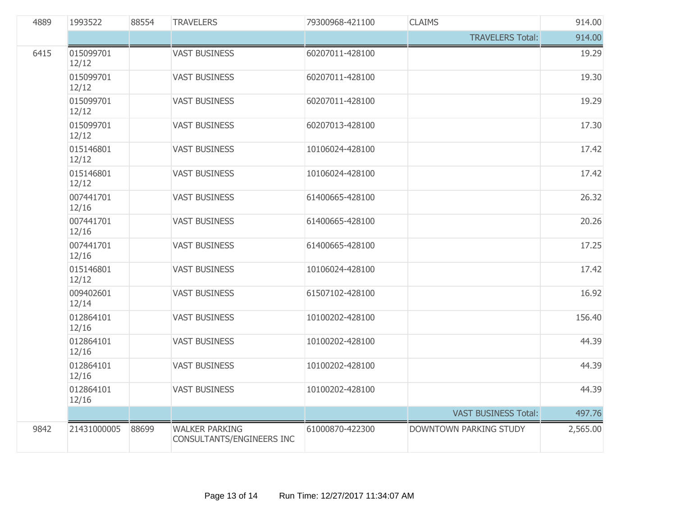| 4889 | 1993522            | 88554 | <b>TRAVELERS</b>                                   | 79300968-421100 | <b>CLAIMS</b>                 | 914.00   |
|------|--------------------|-------|----------------------------------------------------|-----------------|-------------------------------|----------|
|      |                    |       |                                                    |                 | <b>TRAVELERS Total:</b>       | 914.00   |
| 6415 | 015099701<br>12/12 |       | <b>VAST BUSINESS</b>                               | 60207011-428100 |                               | 19.29    |
|      | 015099701<br>12/12 |       | <b>VAST BUSINESS</b>                               | 60207011-428100 |                               | 19.30    |
|      | 015099701<br>12/12 |       | <b>VAST BUSINESS</b>                               | 60207011-428100 |                               | 19.29    |
|      | 015099701<br>12/12 |       | <b>VAST BUSINESS</b>                               | 60207013-428100 |                               | 17.30    |
|      | 015146801<br>12/12 |       | <b>VAST BUSINESS</b>                               | 10106024-428100 |                               | 17.42    |
|      | 015146801<br>12/12 |       | <b>VAST BUSINESS</b>                               | 10106024-428100 |                               | 17.42    |
|      | 007441701<br>12/16 |       | <b>VAST BUSINESS</b>                               | 61400665-428100 |                               | 26.32    |
|      | 007441701<br>12/16 |       | <b>VAST BUSINESS</b>                               | 61400665-428100 |                               | 20.26    |
|      | 007441701<br>12/16 |       | <b>VAST BUSINESS</b>                               | 61400665-428100 |                               | 17.25    |
|      | 015146801<br>12/12 |       | <b>VAST BUSINESS</b>                               | 10106024-428100 |                               | 17.42    |
|      | 009402601<br>12/14 |       | <b>VAST BUSINESS</b>                               | 61507102-428100 |                               | 16.92    |
|      | 012864101<br>12/16 |       | <b>VAST BUSINESS</b>                               | 10100202-428100 |                               | 156.40   |
|      | 012864101<br>12/16 |       | <b>VAST BUSINESS</b>                               | 10100202-428100 |                               | 44.39    |
|      | 012864101<br>12/16 |       | <b>VAST BUSINESS</b>                               | 10100202-428100 |                               | 44.39    |
|      | 012864101<br>12/16 |       | <b>VAST BUSINESS</b>                               | 10100202-428100 |                               | 44.39    |
|      |                    |       |                                                    |                 | <b>VAST BUSINESS Total:</b>   | 497.76   |
| 9842 | 21431000005        | 88699 | <b>WALKER PARKING</b><br>CONSULTANTS/ENGINEERS INC | 61000870-422300 | <b>DOWNTOWN PARKING STUDY</b> | 2,565.00 |